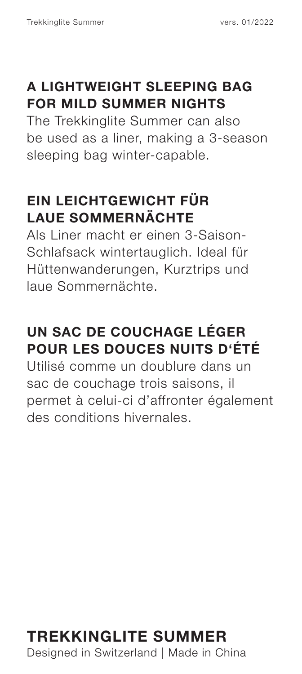#### **A LIGHTWEIGHT SLEEPING BAG FOR MILD SUMMER NIGHTS**

The Trekkinglite Summer can also be used as a liner, making a 3-season sleeping bag winter-capable.

#### **EIN LEICHTGEWICHT FÜR LAUE SOMMERNÄCHTE**

Als Liner macht er einen 3-Saison-Schlafsack wintertauglich. Ideal für Hüttenwanderungen, Kurztrips und laue Sommernächte.

### **UN SAC DE COUCHAGE LÉGER POUR LES DOUCES NUITS D'ÉTÉ**

Utilisé comme un doublure dans un sac de couchage trois saisons, il permet à celui-ci d'affronter également des conditions hivernales.

## **TREKKINGLITE SUMMER**

Designed in Switzerland | Made in China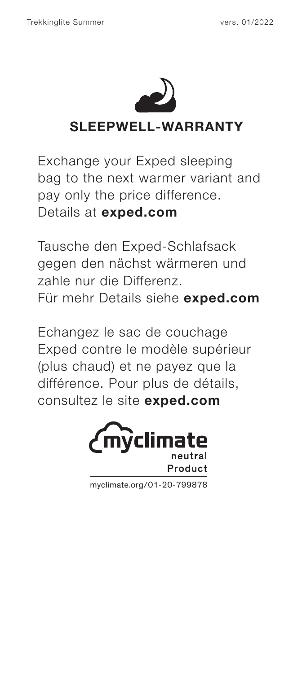

Exchange your Exped sleeping bag to the next warmer variant and pay only the price difference. Details at **exped.com**

Tausche den Exped-Schlafsack gegen den nächst wärmeren und zahle nur die Differenz. Für mehr Details siehe **exped.com**

Echangez le sac de couchage Exped contre le modèle supérieur (plus chaud) et ne payez que la différence. Pour plus de détails, consultez le site **exped.com**



myclimate.org/01-20-799878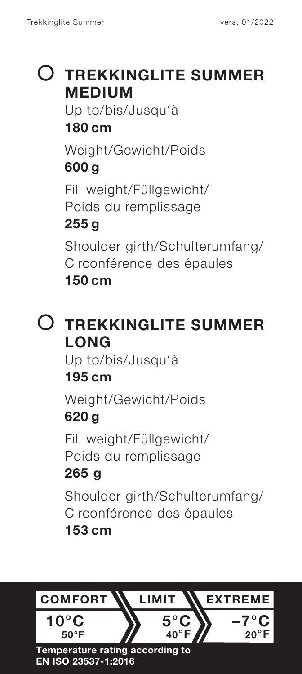## **TREKKINGLITE SUMMER MEDIUM**

Up to/bis/Jusqu'à **180 cm**

Weight/Gewicht/Poids **600 g**

Fill weight/Füllgewicht/ Poids du remplissage

#### **255 g**

Shoulder girth/Schulterumfang/ Circonférence des épaules **150 cm**

## **TREKKINGLITE SUMMER LONG**

Up to/bis/Jusqu'à

#### **195 cm**

Weight/Gewicht/Poids **620 g**

Fill weight/Füllgewicht/ Poids du remplissage

### **265 g**

Shoulder girth/Schulterumfang/ Circonférence des épaules

#### **153 cm**

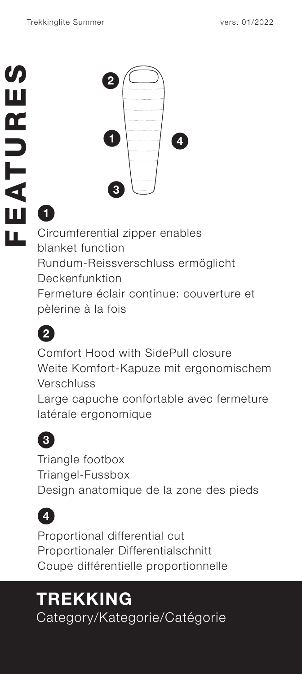

# **1**

Circumferential zipper enables blanket function Rundum-Reissverschluss ermöglicht Deckenfunktion Fermeture éclair continue: couverture et pèlerine à la fois



Comfort Hood with SidePull closure Weite Komfort-Kapuze mit ergonomischem Verschluss

Large capuche confortable avec fermeture latérale ergonomique

# **3**

Triangle footbox Triangel-Fussbox Design anatomique de la zone des pieds



Proportional differential cut Proportionaler Differentialschnitt Coupe différentielle proportionnelle

# **TREKKING**

Category/Kategorie/Catégorie